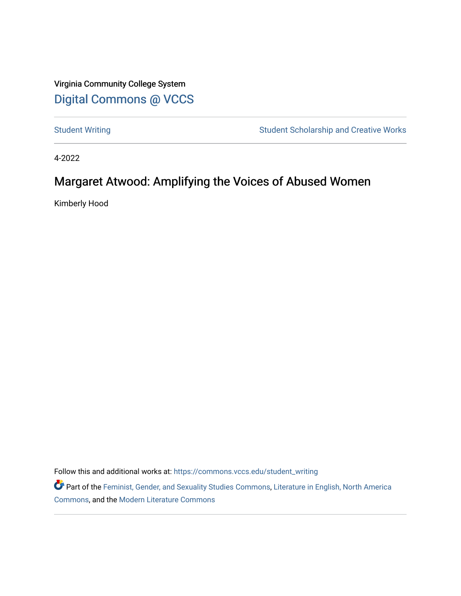Virginia Community College System [Digital Commons @ VCCS](https://commons.vccs.edu/)

[Student Writing](https://commons.vccs.edu/student_writing) Student Scholarship and Creative Works

4-2022

# Margaret Atwood: Amplifying the Voices of Abused Women

Kimberly Hood

Follow this and additional works at: [https://commons.vccs.edu/student\\_writing](https://commons.vccs.edu/student_writing?utm_source=commons.vccs.edu%2Fstudent_writing%2F56&utm_medium=PDF&utm_campaign=PDFCoverPages) 

Part of the [Feminist, Gender, and Sexuality Studies Commons](http://network.bepress.com/hgg/discipline/559?utm_source=commons.vccs.edu%2Fstudent_writing%2F56&utm_medium=PDF&utm_campaign=PDFCoverPages), [Literature in English, North America](http://network.bepress.com/hgg/discipline/458?utm_source=commons.vccs.edu%2Fstudent_writing%2F56&utm_medium=PDF&utm_campaign=PDFCoverPages) [Commons](http://network.bepress.com/hgg/discipline/458?utm_source=commons.vccs.edu%2Fstudent_writing%2F56&utm_medium=PDF&utm_campaign=PDFCoverPages), and the [Modern Literature Commons](http://network.bepress.com/hgg/discipline/1050?utm_source=commons.vccs.edu%2Fstudent_writing%2F56&utm_medium=PDF&utm_campaign=PDFCoverPages)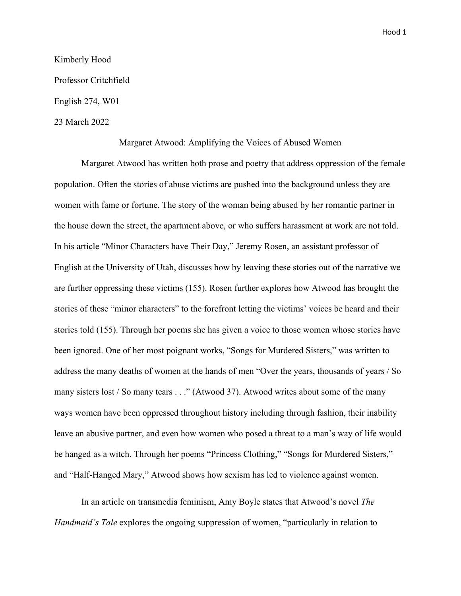#### Kimberly Hood

Professor Critchfield

English 274, W01

## 23 March 2022

#### Margaret Atwood: Amplifying the Voices of Abused Women

Margaret Atwood has written both prose and poetry that address oppression of the female population. Often the stories of abuse victims are pushed into the background unless they are women with fame or fortune. The story of the woman being abused by her romantic partner in the house down the street, the apartment above, or who suffers harassment at work are not told. In his article "Minor Characters have Their Day," Jeremy Rosen, an assistant professor of English at the University of Utah, discusses how by leaving these stories out of the narrative we are further oppressing these victims (155). Rosen further explores how Atwood has brought the stories of these "minor characters" to the forefront letting the victims' voices be heard and their stories told (155). Through her poems she has given a voice to those women whose stories have been ignored. One of her most poignant works, "Songs for Murdered Sisters," was written to address the many deaths of women at the hands of men "Over the years, thousands of years / So many sisters lost / So many tears . . ." (Atwood 37). Atwood writes about some of the many ways women have been oppressed throughout history including through fashion, their inability leave an abusive partner, and even how women who posed a threat to a man's way of life would be hanged as a witch. Through her poems "Princess Clothing," "Songs for Murdered Sisters," and "Half-Hanged Mary," Atwood shows how sexism has led to violence against women.

In an article on transmedia feminism, Amy Boyle states that Atwood's novel *The Handmaid's Tale* explores the ongoing suppression of women, "particularly in relation to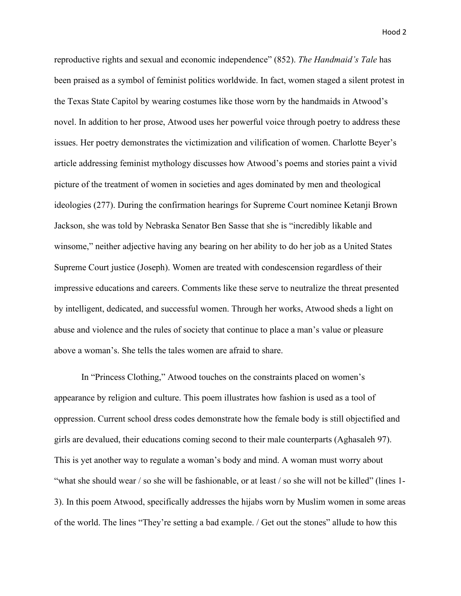reproductive rights and sexual and economic independence" (852). *The Handmaid's Tale* has been praised as a symbol of feminist politics worldwide. In fact, women staged a silent protest in the Texas State Capitol by wearing costumes like those worn by the handmaids in Atwood's novel. In addition to her prose, Atwood uses her powerful voice through poetry to address these issues. Her poetry demonstrates the victimization and vilification of women. Charlotte Beyer's article addressing feminist mythology discusses how Atwood's poems and stories paint a vivid picture of the treatment of women in societies and ages dominated by men and theological ideologies (277). During the confirmation hearings for Supreme Court nominee Ketanji Brown Jackson, she was told by Nebraska Senator Ben Sasse that she is "incredibly likable and winsome," neither adjective having any bearing on her ability to do her job as a United States Supreme Court justice (Joseph). Women are treated with condescension regardless of their impressive educations and careers. Comments like these serve to neutralize the threat presented by intelligent, dedicated, and successful women. Through her works, Atwood sheds a light on abuse and violence and the rules of society that continue to place a man's value or pleasure above a woman's. She tells the tales women are afraid to share.

In "Princess Clothing," Atwood touches on the constraints placed on women's appearance by religion and culture. This poem illustrates how fashion is used as a tool of oppression. Current school dress codes demonstrate how the female body is still objectified and girls are devalued, their educations coming second to their male counterparts (Aghasaleh 97). This is yet another way to regulate a woman's body and mind. A woman must worry about "what she should wear / so she will be fashionable, or at least / so she will not be killed" (lines 1- 3). In this poem Atwood, specifically addresses the hijabs worn by Muslim women in some areas of the world. The lines "They're setting a bad example. / Get out the stones" allude to how this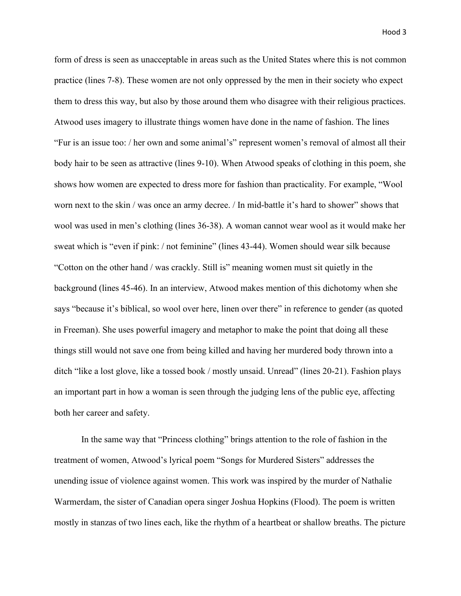form of dress is seen as unacceptable in areas such as the United States where this is not common practice (lines 7-8). These women are not only oppressed by the men in their society who expect them to dress this way, but also by those around them who disagree with their religious practices. Atwood uses imagery to illustrate things women have done in the name of fashion. The lines "Fur is an issue too: / her own and some animal's" represent women's removal of almost all their body hair to be seen as attractive (lines 9-10). When Atwood speaks of clothing in this poem, she shows how women are expected to dress more for fashion than practicality. For example, "Wool worn next to the skin / was once an army decree. / In mid-battle it's hard to shower" shows that wool was used in men's clothing (lines 36-38). A woman cannot wear wool as it would make her sweat which is "even if pink: / not feminine" (lines 43-44). Women should wear silk because "Cotton on the other hand / was crackly. Still is" meaning women must sit quietly in the background (lines 45-46). In an interview, Atwood makes mention of this dichotomy when she says "because it's biblical, so wool over here, linen over there" in reference to gender (as quoted in Freeman). She uses powerful imagery and metaphor to make the point that doing all these things still would not save one from being killed and having her murdered body thrown into a ditch "like a lost glove, like a tossed book / mostly unsaid. Unread" (lines 20-21). Fashion plays an important part in how a woman is seen through the judging lens of the public eye, affecting both her career and safety.

In the same way that "Princess clothing" brings attention to the role of fashion in the treatment of women, Atwood's lyrical poem "Songs for Murdered Sisters" addresses the unending issue of violence against women. This work was inspired by the murder of Nathalie Warmerdam, the sister of Canadian opera singer Joshua Hopkins (Flood). The poem is written mostly in stanzas of two lines each, like the rhythm of a heartbeat or shallow breaths. The picture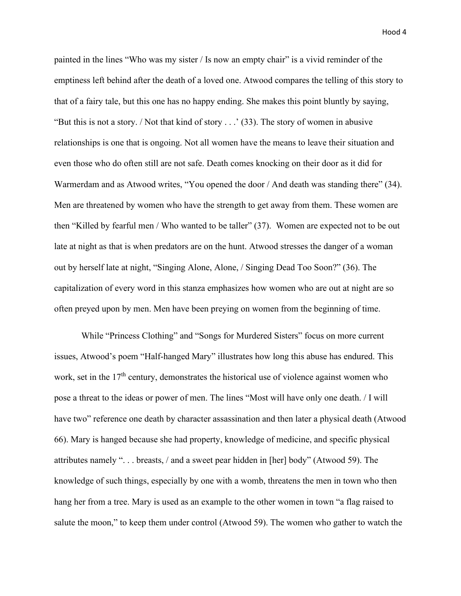painted in the lines "Who was my sister / Is now an empty chair" is a vivid reminder of the emptiness left behind after the death of a loved one. Atwood compares the telling of this story to that of a fairy tale, but this one has no happy ending. She makes this point bluntly by saying, "But this is not a story. / Not that kind of story . . .' (33). The story of women in abusive relationships is one that is ongoing. Not all women have the means to leave their situation and even those who do often still are not safe. Death comes knocking on their door as it did for Warmerdam and as Atwood writes, "You opened the door / And death was standing there" (34). Men are threatened by women who have the strength to get away from them. These women are then "Killed by fearful men / Who wanted to be taller" (37). Women are expected not to be out late at night as that is when predators are on the hunt. Atwood stresses the danger of a woman out by herself late at night, "Singing Alone, Alone, / Singing Dead Too Soon?" (36). The capitalization of every word in this stanza emphasizes how women who are out at night are so often preyed upon by men. Men have been preying on women from the beginning of time.

While "Princess Clothing" and "Songs for Murdered Sisters" focus on more current issues, Atwood's poem "Half-hanged Mary" illustrates how long this abuse has endured. This work, set in the  $17<sup>th</sup>$  century, demonstrates the historical use of violence against women who pose a threat to the ideas or power of men. The lines "Most will have only one death. / I will have two" reference one death by character assassination and then later a physical death (Atwood 66). Mary is hanged because she had property, knowledge of medicine, and specific physical attributes namely ". . . breasts, / and a sweet pear hidden in [her] body" (Atwood 59). The knowledge of such things, especially by one with a womb, threatens the men in town who then hang her from a tree. Mary is used as an example to the other women in town "a flag raised to salute the moon," to keep them under control (Atwood 59). The women who gather to watch the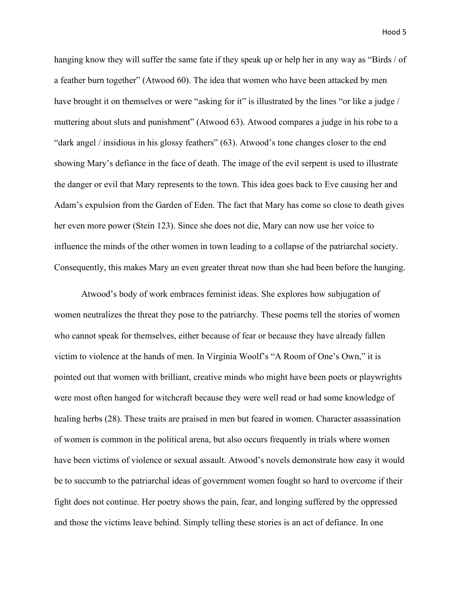hanging know they will suffer the same fate if they speak up or help her in any way as "Birds / of a feather burn together" (Atwood 60). The idea that women who have been attacked by men have brought it on themselves or were "asking for it" is illustrated by the lines "or like a judge / muttering about sluts and punishment" (Atwood 63). Atwood compares a judge in his robe to a "dark angel / insidious in his glossy feathers" (63). Atwood's tone changes closer to the end showing Mary's defiance in the face of death. The image of the evil serpent is used to illustrate the danger or evil that Mary represents to the town. This idea goes back to Eve causing her and Adam's expulsion from the Garden of Eden. The fact that Mary has come so close to death gives her even more power (Stein 123). Since she does not die, Mary can now use her voice to influence the minds of the other women in town leading to a collapse of the patriarchal society. Consequently, this makes Mary an even greater threat now than she had been before the hanging.

Atwood's body of work embraces feminist ideas. She explores how subjugation of women neutralizes the threat they pose to the patriarchy. These poems tell the stories of women who cannot speak for themselves, either because of fear or because they have already fallen victim to violence at the hands of men. In Virginia Woolf's "A Room of One's Own," it is pointed out that women with brilliant, creative minds who might have been poets or playwrights were most often hanged for witchcraft because they were well read or had some knowledge of healing herbs (28). These traits are praised in men but feared in women. Character assassination of women is common in the political arena, but also occurs frequently in trials where women have been victims of violence or sexual assault. Atwood's novels demonstrate how easy it would be to succumb to the patriarchal ideas of government women fought so hard to overcome if their fight does not continue. Her poetry shows the pain, fear, and longing suffered by the oppressed and those the victims leave behind. Simply telling these stories is an act of defiance. In one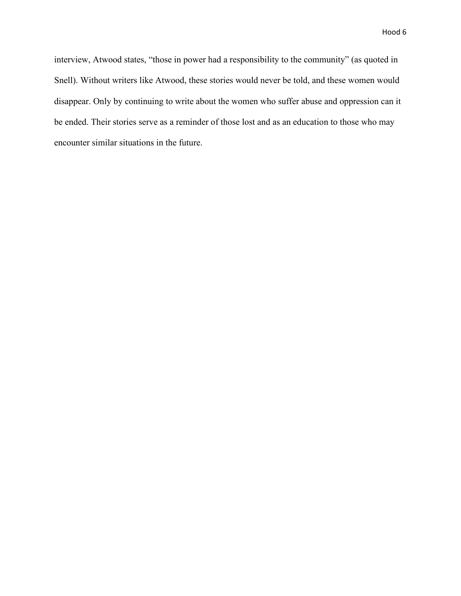interview, Atwood states, "those in power had a responsibility to the community" (as quoted in Snell). Without writers like Atwood, these stories would never be told, and these women would disappear. Only by continuing to write about the women who suffer abuse and oppression can it be ended. Their stories serve as a reminder of those lost and as an education to those who may encounter similar situations in the future.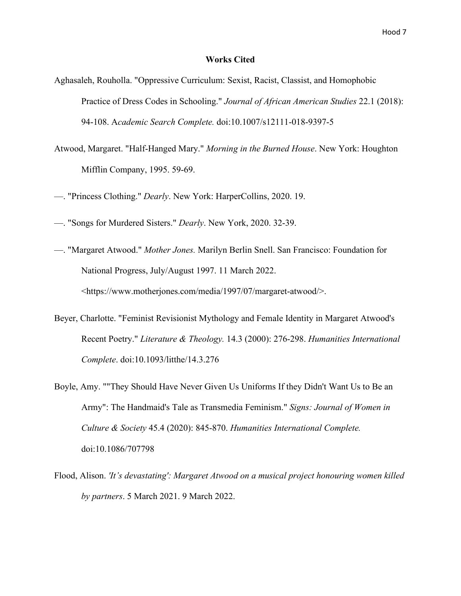### **Works Cited**

- Aghasaleh, Rouholla. "Oppressive Curriculum: Sexist, Racist, Classist, and Homophobic Practice of Dress Codes in Schooling." *Journal of African American Studies* 22.1 (2018): 94-108. A*cademic Search Complete.* doi:10.1007/s12111-018-9397-5
- Atwood, Margaret. "Half-Hanged Mary." *Morning in the Burned House*. New York: Houghton Mifflin Company, 1995. 59-69.
- —. "Princess Clothing." *Dearly*. New York: HarperCollins, 2020. 19.
- —. "Songs for Murdered Sisters." *Dearly*. New York, 2020. 32-39.
- —. "Margaret Atwood." *Mother Jones.* Marilyn Berlin Snell. San Francisco: Foundation for National Progress, July/August 1997. 11 March 2022. <https://www.motherjones.com/media/1997/07/margaret-atwood/>.
- Beyer, Charlotte. "Feminist Revisionist Mythology and Female Identity in Margaret Atwood's Recent Poetry." *Literature & Theology.* 14.3 (2000): 276-298. *Humanities International Complete*. doi:10.1093/litthe/14.3.276
- Boyle, Amy. ""They Should Have Never Given Us Uniforms If they Didn't Want Us to Be an Army": The Handmaid's Tale as Transmedia Feminism." *Signs: Journal of Women in Culture & Society* 45.4 (2020): 845-870. *Humanities International Complete.* doi:10.1086/707798
- Flood, Alison. *'It's devastating': Margaret Atwood on a musical project honouring women killed by partners*. 5 March 2021. 9 March 2022.